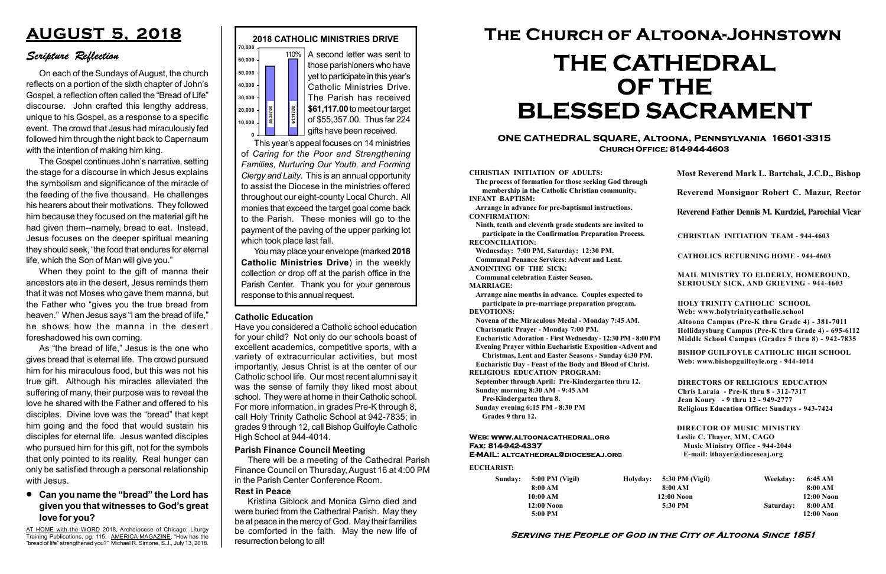#### Serving the People of God in the City of Altoona Since 1851

Sunday: 5:00 PM (Vigil) 8:00 AM 10:00 AM 12:00 Noon 5:00 PM

Holyday:

#### Web: www.altoonacathedral.org Fax: 814-942-4337 E-MAIL: altcathedral@dioceseaj.org

EUCHARIST:

#### CHRISTIAN INITIATION OF ADULTS:

The process of formation for those seeking God through membership in the Catholic Christian community. INFANT BAPTISM:

Arrange in advance for pre-baptismal instructions. CONFIRMATION:

Ninth, tenth and eleventh grade students are invited to participate in the Confirmation Preparation Process. RECONCILIATION:

Wednesday: 7:00 PM, Saturday: 12:30 PM. Communal Penance Services: Advent and Lent.

ANOINTING OF THE SICK:

Communal celebration Easter Season. MARRIAGE:

Arrange nine months in advance. Couples expected to participate in pre-marriage preparation program. DEVOTIONS:

Novena of the Miraculous Medal - Monday 7:45 AM.

Charismatic Prayer - Monday 7:00 PM. Eucharistic Adoration - First Wednesday - 12:30 PM - 8:00 PM

Evening Prayer within Eucharistic Exposition -Advent and

Christmas, Lent and Easter Seasons - Sunday 6:30 PM.

|                         | Most Reverend Mark L. Bartchak, J.C.D., Bishop<br>Reverend Monsignor Robert C. Mazur, Rector                                                                                    |           |                         |
|-------------------------|---------------------------------------------------------------------------------------------------------------------------------------------------------------------------------|-----------|-------------------------|
|                         |                                                                                                                                                                                 |           |                         |
|                         | Reverend Father Dennis M. Kurdziel, Parochial Vicar                                                                                                                             |           |                         |
|                         | <b>CHRISTIAN INITIATION TEAM - 944-4603</b>                                                                                                                                     |           |                         |
|                         | <b>CATHOLICS RETURNING HOME - 944-4603</b>                                                                                                                                      |           |                         |
|                         | MAIL MINISTRY TO ELDERLY, HOMEBOUND,<br><b>SERIOUSLY SICK, AND GRIEVING - 944-4603</b>                                                                                          |           |                         |
|                         | <b>HOLY TRINITY CATHOLIC SCHOOL</b><br>Web: www.holytrinitycatholic.school                                                                                                      |           |                         |
| М                       | Altoona Campus (Pre-K thru Grade 4) - 381-7011<br>Hollidaysburg Campus (Pre-K thru Grade 4) - 695-6112<br>Middle School Campus (Grades 5 thru 8) - 942-7835                     |           |                         |
| ł                       | <b>BISHOP GUILFOYLE CATHOLIC HIGH SCHOOL</b><br>Web: www.bishopguilfoyle.org - 944-4014                                                                                         |           |                         |
|                         | <b>DIRECTORS OF RELIGIOUS EDUCATION</b><br>Chris Laraia - Pre-K thru 8 - 312-7317<br>Jean Koury - 9 thru 12 - 949-2777<br><b>Religious Education Office: Sundays - 943-7424</b> |           |                         |
|                         | <b>DIRECTOR OF MUSIC MINISTRY</b><br>Leslie C. Thayer, MM, CAGO<br><b>Music Ministry Office - 944-2044</b><br>E-mail: lthayer@dioceseaj.org                                     |           |                         |
| 5:30 PM (Vigil)         |                                                                                                                                                                                 | Weekday:  | 6:45 AM                 |
| 8:00 AM<br>$12:00$ Noon |                                                                                                                                                                                 |           | 8:00 AM<br>12:00 Noon   |
|                         | 5:30 PM                                                                                                                                                                         | Saturday: | 8:00 AM<br>$12:00$ Noon |
|                         |                                                                                                                                                                                 |           |                         |

Eucharistic Day - Feast of the Body and Blood of Christ. RELIGIOUS EDUCATION PROGRAM:

September through April: Pre-Kindergarten thru 12.

Sunday morning 8:30 AM - 9:45 AM Pre-Kindergarten thru 8.

Sunday evening 6:15 PM - 8:30 PM Grades 9 thru 12.



0 This year's appeal focuses on 14 ministries of Caring for the Poor and Strengthening Families, Nurturing Our Youth, and Forming Clergy and Laity. This is an annual opportunity to assist the Diocese in the ministries offered throughout our eight-county Local Church. All monies that exceed the target goal come back to the Parish. These monies will go to the payment of the paving of the upper parking lot which took place last fall. 0,000<br>
1,000<br>
1,000<br>
1,000<br>
1,000<br>
1,000<br>
1,000<br>
1,000<br>
1,000<br>
1,000<br>
1,000<br>
1,000<br>
1,0000<br>
1,0000<br>
1,0000<br>
1,000001<br>
1,000001<br>
1,000001<br>
1,000001<br>
1,000001<br>
1,000001<br>
5,357.00. Thus far 224<br>
1,0000001<br>
5,357.00. Thus far

On each of the Sundays of August, the church reflects on a portion of the sixth chapter of John's Gospel, a reflection often called the "Bread of Life" discourse. John crafted this lengthy address, unique to his Gospel, as a response to a specific event. The crowd that Jesus had miraculously fed followed him through the night back to Capernaum with the intention of making him king.

#### ONE CATHEDRAL SQUARE, Altoona, Pennsylvania 16601-3315 Church Office: 814-944-4603

# The Church of Altoona-Johnstown THE CATHEDRAL OF THE BLESSED SACRAMENT

AT HOME with the WORD 2018, Archdiocese of Chicago: Liturgy Training Publications, pg. 115. AMERICA MAGAZINE, "How has the "bread of life" strengthened you?" Michael R. Simone, S.J., July 13, 2018.

You may place your envelope (marked 2018 Catholic Ministries Drive) in the weekly collection or drop off at the parish office in the Parish Center. Thank you for your generous

#### Catholic Education

Have you considered a Catholic school education for your child? Not only do our schools boast of excellent academics, competitive sports, with a variety of extracurricular activities, but most importantly, Jesus Christ is at the center of our Catholic school life. Our most recent alumni say it was the sense of family they liked most about school. They were at home in their Catholic school. For more information, in grades Pre-K through 8, call Holy Trinity Catholic School at 942-7835; in grades 9 through 12, call Bishop Guilfoyle Catholic High School at 944-4014.

## AUGUST 5, 2018

### Scripture Reflection

#### Can you name the "bread" the Lord has given you that witnesses to God's great love for you?

The Gospel continues John's narrative, setting the stage for a discourse in which Jesus explains the symbolism and significance of the miracle of the feeding of the five thousand. He challenges his hearers about their motivations. They followed him because they focused on the material gift he had given them--namely, bread to eat. Instead, Jesus focuses on the deeper spiritual meaning they should seek, "the food that endures for eternal life, which the Son of Man will give you."

When they point to the gift of manna their ancestors ate in the desert, Jesus reminds them that it was not Moses who gave them manna, but the Father who "gives you the true bread from heaven." When Jesus says "I am the bread of life." he shows how the manna in the desert foreshadowed his own coming.

As "the bread of life," Jesus is the one who gives bread that is eternal life. The crowd pursued him for his miraculous food, but this was not his true gift. Although his miracles alleviated the suffering of many, their purpose was to reveal the love he shared with the Father and offered to his disciples. Divine love was the "bread" that kept him going and the food that would sustain his disciples for eternal life. Jesus wanted disciples who pursued him for this gift, not for the symbols that only pointed to its reality. Real hunger can only be satisfied through a personal relationship with Jesus.

#### Rest in Peace

Kristina Giblock and Monica Gimo died and were buried from the Cathedral Parish. May they be at peace in the mercy of God. May their families be comforted in the faith. May the new life of resurrection belong to all!

#### Parish Finance Council Meeting

There will be a meeting of the Cathedral Parish Finance Council on Thursday, August 16 at 4:00 PM in the Parish Center Conference Room.